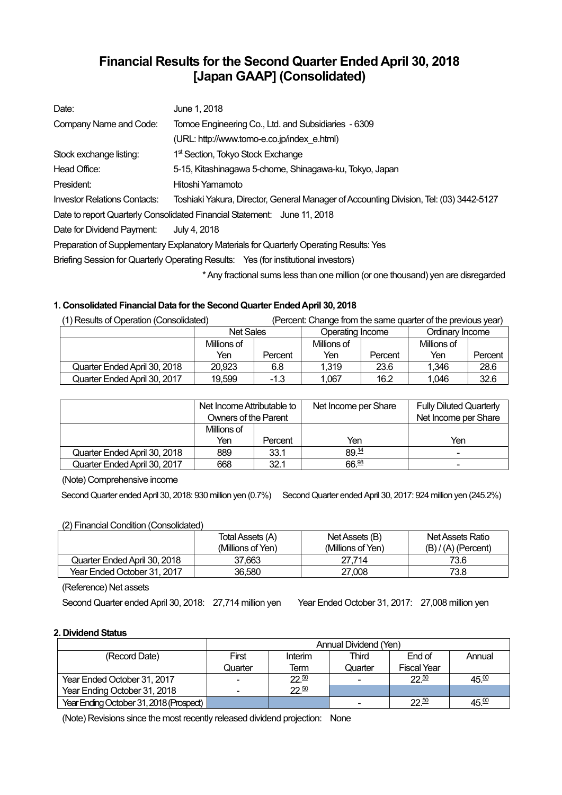# **Financial Results for the Second Quarter Ended April 30, 2018 [Japan GAAP] (Consolidated)**

| Date:                                                                                   | June 1, 2018                                                                           |  |  |  |  |  |
|-----------------------------------------------------------------------------------------|----------------------------------------------------------------------------------------|--|--|--|--|--|
| Company Name and Code:                                                                  | Tomoe Engineering Co., Ltd. and Subsidiaries - 6309                                    |  |  |  |  |  |
|                                                                                         | (URL: http://www.tomo-e.co.jp/index e.html)                                            |  |  |  |  |  |
| Stock exchange listing:                                                                 | 1 <sup>st</sup> Section, Tokyo Stock Exchange                                          |  |  |  |  |  |
| Head Office:                                                                            | 5-15, Kitashinagawa 5-chome, Shinagawa-ku, Tokyo, Japan                                |  |  |  |  |  |
| President:                                                                              | Hitoshi Yamamoto                                                                       |  |  |  |  |  |
| Investor Relations Contacts:                                                            | Toshiaki Yakura, Director, General Manager of Accounting Division, Tel: (03) 3442-5127 |  |  |  |  |  |
|                                                                                         | Date to report Quarterly Consolidated Financial Statement: June 11, 2018               |  |  |  |  |  |
| Date for Dividend Payment:                                                              | July 4, 2018                                                                           |  |  |  |  |  |
| Preparation of Supplementary Explanatory Materials for Quarterly Operating Results: Yes |                                                                                        |  |  |  |  |  |
| Briefing Session for Quarterly Operating Results: Yes (for institutional investors)     |                                                                                        |  |  |  |  |  |
|                                                                                         |                                                                                        |  |  |  |  |  |

\* Any fractional sums less than one million (or one thousand) yen are disregarded

## **1. Consolidated Financial Data for the Second Quarter Ended April 30, 2018**

| (1) Results of Operation (Consolidated) |                  |         | (Percent: Change from the same quarter of the previous year) |         |                 |         |
|-----------------------------------------|------------------|---------|--------------------------------------------------------------|---------|-----------------|---------|
|                                         | <b>Net Sales</b> |         | Operating Income                                             |         | Ordinary Income |         |
|                                         | Millions of      |         | Millions of                                                  |         | Millions of     |         |
|                                         | Yen              | Percent | Yen                                                          | Percent | Yen             | Percent |
| Quarter Ended April 30, 2018            | 20.923           | 6.8     | 1.319                                                        | 23.6    | 1.346           | 28.6    |
| Quarter Ended April 30, 2017            | 19.599           | $-1.3$  | 1.067                                                        | 16.2    | 1.046           | 32.6    |

|                              | Net Income Attributable to<br><b>Owners of the Parent</b> |         | Net Income per Share | <b>Fully Diluted Quarterly</b><br>Net Income per Share |
|------------------------------|-----------------------------------------------------------|---------|----------------------|--------------------------------------------------------|
|                              | Millions of                                               |         |                      |                                                        |
|                              | Yen                                                       | Percent | Yen                  | Yen                                                    |
| Quarter Ended April 30, 2018 | 889                                                       | 33.1    | 89.14                | -                                                      |
| Quarter Ended April 30, 2017 | 668                                                       | 32.1    | 66.98                | -                                                      |

(Note) Comprehensive income

Second Quarter ended April 30, 2018: 930 million yen (0.7%) Second Quarter ended April 30, 2017: 924 million yen (245.2%)

## (2) Financial Condition (Consolidated)

| $\sim$                       | Total Assets (A)<br>(Millions of Yen) | Net Assets (B)<br>(Millions of Yen) | Net Assets Ratio<br>$(B) / (A)$ (Percent) |
|------------------------------|---------------------------------------|-------------------------------------|-------------------------------------------|
| Quarter Ended April 30, 2018 | 37.663                                | 27.714                              | 73.6                                      |
| Year Ended October 31, 2017  | 36.580                                | 27.008                              | 73.8                                      |

(Reference) Net assets

Second Quarter ended April 30, 2018: 27,714 million yen Year Ended October 31, 2017: 27,008 million yen

## **2. Dividend Status**

|                                         | Annual Dividend (Yen) |         |         |                    |                   |  |
|-----------------------------------------|-----------------------|---------|---------|--------------------|-------------------|--|
| (Record Date)                           | First                 | Interim | Third   | End of             | Annual            |  |
|                                         | Quarter               | Term    | Quarter | <b>Fiscal Year</b> |                   |  |
| Year Ended October 31, 2017             |                       | 22.50   |         | $22^{50}$          | 45.00             |  |
| Year Ending October 31, 2018            |                       | 22.50   |         |                    |                   |  |
| Year Ending October 31, 2018 (Prospect) |                       |         |         | $22^{50}$          | 45. <sup>00</sup> |  |

(Note) Revisions since the most recently released dividend projection: None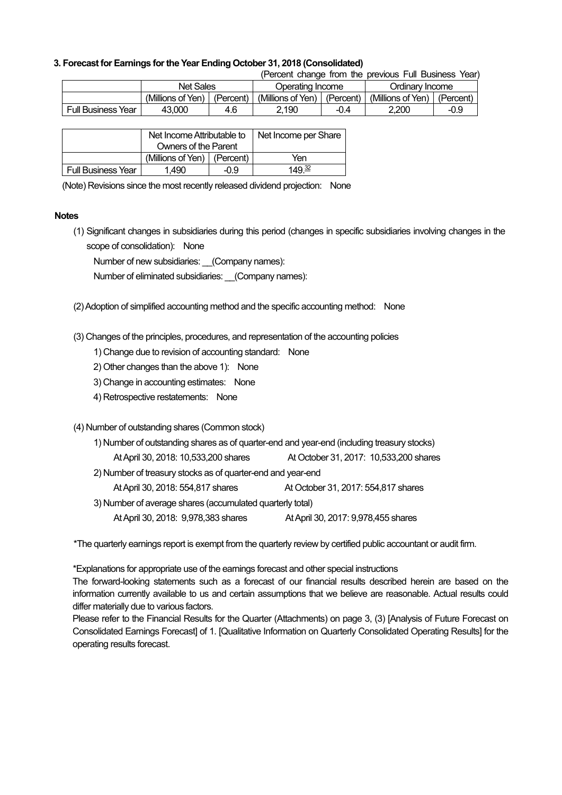### **3. Forecast for Earnings for the Year Ending October 31, 2018 (Consolidated)**

(Percent change from the previous Full Business Year)

|                           | <b>Net Sales</b>  |           | Operating Income  |             | Ordinarv Income   |           |
|---------------------------|-------------------|-----------|-------------------|-------------|-------------------|-----------|
|                           | (Millions of Yen) | (Percent) | (Millions of Yen) | l (Percent) | (Millions of Yen) | (Percent) |
| <b>Full Business Year</b> | 43.000            | 4.6       | 2.190             | -0.4        | 2.200             | -0.9      |

|                           | Net Income Attributable to    |  | Net Income per Share |
|---------------------------|-------------------------------|--|----------------------|
|                           | Owners of the Parent          |  |                      |
|                           | (Millions of Yen)   (Percent) |  | Yen                  |
| <b>Full Business Year</b> | 1.490<br>-0.9                 |  | 149 <sup>32</sup>    |

(Note) Revisions since the most recently released dividend projection: None

#### **Notes**

(1) Significant changes in subsidiaries during this period (changes in specific subsidiaries involving changes in the scope of consolidation): None

Number of new subsidiaries: (Company names):

Number of eliminated subsidiaries: (Company names):

(2) Adoption of simplified accounting method and the specific accounting method: None

(3) Changes of the principles, procedures, and representation of the accounting policies

1) Change due to revision of accounting standard: None

- 2) Other changes than the above 1): None
- 3) Change in accounting estimates: None
- 4) Retrospective restatements: None

### (4) Number of outstanding shares (Common stock)

| 1) Number of outstanding shares as of quarter-end and year-end (including treasury stocks) |                                     |  |  |  |
|--------------------------------------------------------------------------------------------|-------------------------------------|--|--|--|
| At October 31, 2017: 10,533,200 shares<br>At April 30, 2018: 10,533,200 shares             |                                     |  |  |  |
| 2) Number of treasury stocks as of quarter-end and year-end                                |                                     |  |  |  |
| At April 30, 2018: 554,817 shares                                                          | At October 31, 2017: 554,817 shares |  |  |  |
| 3) Number of average shares (accumulated quarterly total)                                  |                                     |  |  |  |
| At April 30, 2018: 9,978,383 shares                                                        | At April 30, 2017: 9,978,455 shares |  |  |  |

\*The quarterly earnings report is exempt from the quarterly review by certified public accountant or audit firm.

\*Explanations for appropriate use of the earnings forecast and other special instructions

The forward-looking statements such as a forecast of our financial results described herein are based on the information currently available to us and certain assumptions that we believe are reasonable. Actual results could differ materially due to various factors.

Please refer to the Financial Results for the Quarter (Attachments) on page 3, (3) [Analysis of Future Forecast on Consolidated Earnings Forecast] of 1. [Qualitative Information on Quarterly Consolidated Operating Results] for the operating results forecast.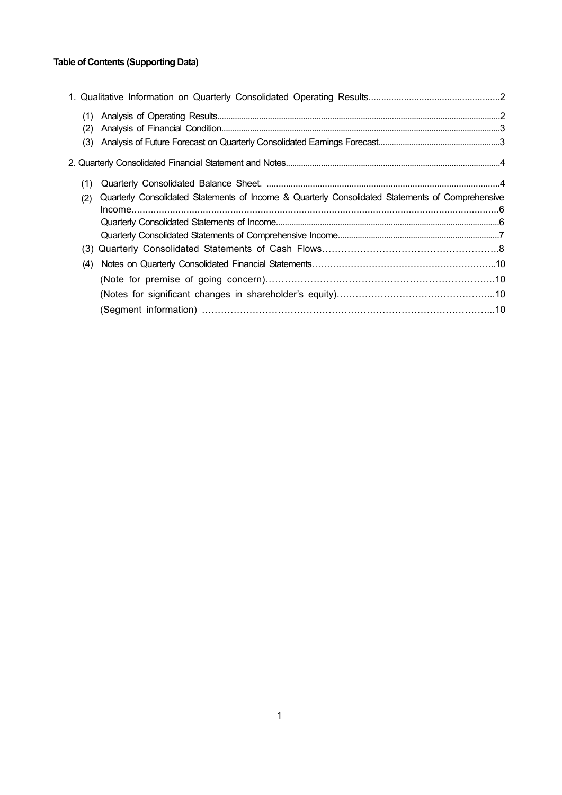## **Table of Contents (Supporting Data)**

| (1)<br>(2) |                                                                                                  |  |
|------------|--------------------------------------------------------------------------------------------------|--|
| (3)        |                                                                                                  |  |
|            |                                                                                                  |  |
| (1)        |                                                                                                  |  |
| (2)        | Quarterly Consolidated Statements of Income & Quarterly Consolidated Statements of Comprehensive |  |
|            |                                                                                                  |  |
|            |                                                                                                  |  |
|            |                                                                                                  |  |
|            |                                                                                                  |  |
| (4)        |                                                                                                  |  |
|            |                                                                                                  |  |
|            |                                                                                                  |  |
|            |                                                                                                  |  |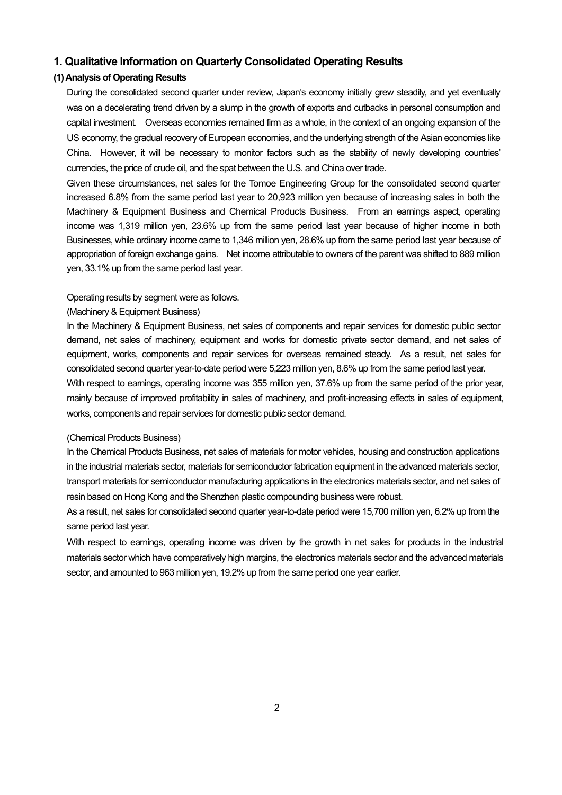## **1. Qualitative Information on Quarterly Consolidated Operating Results**

## **(1) Analysis of Operating Results**

During the consolidated second quarter under review, Japan's economy initially grew steadily, and yet eventually was on a decelerating trend driven by a slump in the growth of exports and cutbacks in personal consumption and capital investment. Overseas economies remained firm as a whole, in the context of an ongoing expansion of the US economy, the gradual recovery of European economies, and the underlying strength of the Asian economies like China. However, it will be necessary to monitor factors such as the stability of newly developing countries' currencies, the price of crude oil, and the spat between the U.S. and China over trade.

Given these circumstances, net sales for the Tomoe Engineering Group for the consolidated second quarter increased 6.8% from the same period last year to 20,923 million yen because of increasing sales in both the Machinery & Equipment Business and Chemical Products Business. From an earnings aspect, operating income was 1,319 million yen, 23.6% up from the same period last year because of higher income in both Businesses, while ordinary income came to 1,346 million yen, 28.6% up from the same period last year because of appropriation of foreign exchange gains. Net income attributable to owners of the parent was shifted to 889 million yen, 33.1% up from the same period last year.

#### Operating results by segment were as follows.

works, components and repair services for domestic public sector demand.

#### (Machinery & Equipment Business)

In the Machinery & Equipment Business, net sales of components and repair services for domestic public sector demand, net sales of machinery, equipment and works for domestic private sector demand, and net sales of equipment, works, components and repair services for overseas remained steady. As a result, net sales for consolidated second quarter year-to-date period were 5,223 million yen, 8.6% up from the same period last year. With respect to earnings, operating income was 355 million yen, 37.6% up from the same period of the prior year, mainly because of improved profitability in sales of machinery, and profit-increasing effects in sales of equipment,

#### (Chemical Products Business)

In the Chemical Products Business, net sales of materials for motor vehicles, housing and construction applications in the industrial materials sector, materials for semiconductor fabrication equipment in the advanced materials sector, transport materials for semiconductor manufacturing applications in the electronics materials sector, and net sales of resin based on Hong Kong and the Shenzhen plastic compounding business were robust.

As a result, net sales for consolidated second quarter year-to-date period were 15,700 million yen, 6.2% up from the same period last year.

With respect to earnings, operating income was driven by the growth in net sales for products in the industrial materials sector which have comparatively high margins, the electronics materials sector and the advanced materials sector, and amounted to 963 million yen, 19.2% up from the same period one year earlier.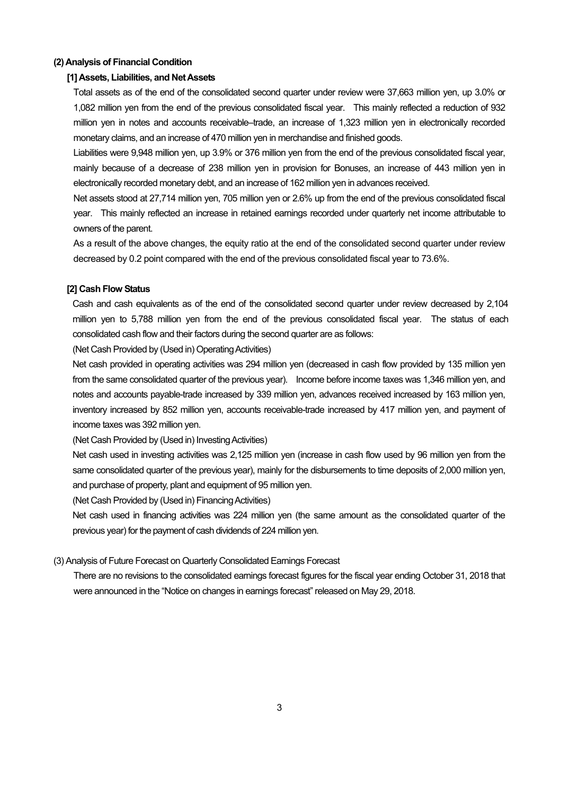#### **(2) Analysis of Financial Condition**

#### **[1] Assets, Liabilities, and Net Assets**

Total assets as of the end of the consolidated second quarter under review were 37,663 million yen, up 3.0% or 1,082 million yen from the end of the previous consolidated fiscal year. This mainly reflected a reduction of 932 million yen in notes and accounts receivable–trade, an increase of 1,323 million yen in electronically recorded monetary claims, and an increase of 470 million yen in merchandise and finished goods.

Liabilities were 9,948 million yen, up 3.9% or 376 million yen from the end of the previous consolidated fiscal year, mainly because of a decrease of 238 million yen in provision for Bonuses, an increase of 443 million yen in electronically recorded monetary debt, and an increase of 162 million yen in advances received.

Net assets stood at 27,714 million yen, 705 million yen or 2.6% up from the end of the previous consolidated fiscal year. This mainly reflected an increase in retained earnings recorded under quarterly net income attributable to owners of the parent.

As a result of the above changes, the equity ratio at the end of the consolidated second quarter under review decreased by 0.2 point compared with the end of the previous consolidated fiscal year to 73.6%.

#### **[2] Cash Flow Status**

Cash and cash equivalents as of the end of the consolidated second quarter under review decreased by 2,104 million yen to 5,788 million yen from the end of the previous consolidated fiscal year. The status of each consolidated cash flow and their factors during the second quarter are as follows:

(Net Cash Provided by (Used in) Operating Activities)

Net cash provided in operating activities was 294 million yen (decreased in cash flow provided by 135 million yen from the same consolidated quarter of the previous year). Income before income taxes was 1,346 million yen, and notes and accounts payable-trade increased by 339 million yen, advances received increased by 163 million yen, inventory increased by 852 million yen, accounts receivable-trade increased by 417 million yen, and payment of income taxes was 392 million yen.

(Net Cash Provided by (Used in) Investing Activities)

Net cash used in investing activities was 2,125 million yen (increase in cash flow used by 96 million yen from the same consolidated quarter of the previous year), mainly for the disbursements to time deposits of 2,000 million yen, and purchase of property, plant and equipment of 95 million yen.

(Net Cash Provided by (Used in) Financing Activities)

Net cash used in financing activities was 224 million yen (the same amount as the consolidated quarter of the previous year) for the payment of cash dividends of 224 million yen.

#### (3) Analysis of Future Forecast on Quarterly Consolidated Earnings Forecast

There are no revisions to the consolidated earnings forecast figures for the fiscal year ending October 31, 2018 that were announced in the "Notice on changes in earnings forecast" released on May 29, 2018.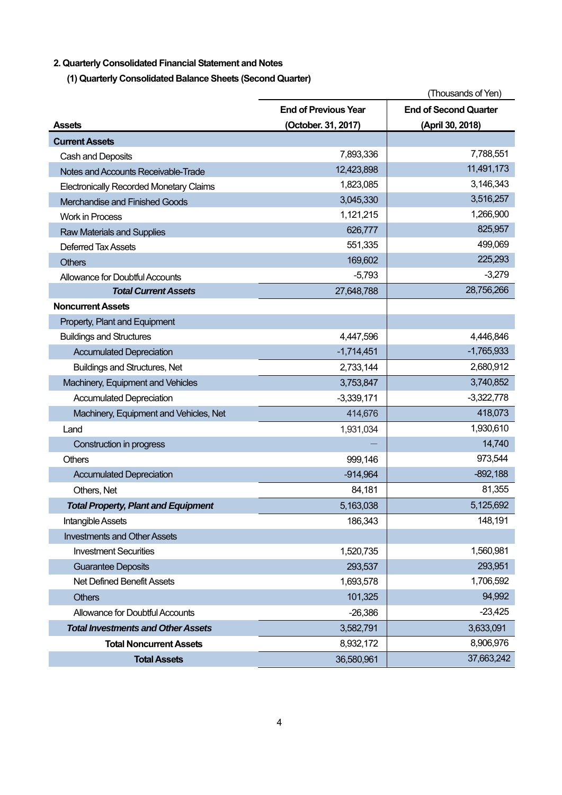## **2. Quarterly Consolidated Financial Statement and Notes**

**(1) Quarterly Consolidated Balance Sheets (Second Quarter)** 

|                                                |                             | (Thousands of Yen)           |
|------------------------------------------------|-----------------------------|------------------------------|
|                                                | <b>End of Previous Year</b> | <b>End of Second Quarter</b> |
| <b>Assets</b>                                  | (October. 31, 2017)         | (April 30, 2018)             |
| <b>Current Assets</b>                          |                             |                              |
| Cash and Deposits                              | 7,893,336                   | 7,788,551                    |
| Notes and Accounts Receivable-Trade            | 12,423,898                  | 11,491,173                   |
| <b>Electronically Recorded Monetary Claims</b> | 1,823,085                   | 3,146,343                    |
| Merchandise and Finished Goods                 | 3,045,330                   | 3,516,257                    |
| <b>Work in Process</b>                         | 1,121,215                   | 1,266,900                    |
| <b>Raw Materials and Supplies</b>              | 626,777                     | 825,957                      |
| <b>Deferred Tax Assets</b>                     | 551,335                     | 499,069                      |
| <b>Others</b>                                  | 169,602                     | 225,293                      |
| <b>Allowance for Doubtful Accounts</b>         | $-5,793$                    | $-3,279$                     |
| <b>Total Current Assets</b>                    | 27,648,788                  | 28,756,266                   |
| <b>Noncurrent Assets</b>                       |                             |                              |
| Property, Plant and Equipment                  |                             |                              |
| <b>Buildings and Structures</b>                | 4,447,596                   | 4,446,846                    |
| <b>Accumulated Depreciation</b>                | $-1,714,451$                | $-1,765,933$                 |
| <b>Buildings and Structures, Net</b>           | 2,733,144                   | 2,680,912                    |
| Machinery, Equipment and Vehicles              | 3,753,847                   | 3,740,852                    |
| <b>Accumulated Depreciation</b>                | $-3,339,171$                | $-3,322,778$                 |
| Machinery, Equipment and Vehicles, Net         | 414,676                     | 418,073                      |
| Land                                           | 1,931,034                   | 1,930,610                    |
| Construction in progress                       |                             | 14,740                       |
| Others                                         | 999,146                     | 973,544                      |
| <b>Accumulated Depreciation</b>                | $-914,964$                  | $-892,188$                   |
| Others, Net                                    | 84,181                      | 81,355                       |
| <b>Total Property, Plant and Equipment</b>     | 5,163,038                   | 5,125,692                    |
| Intangible Assets                              | 186,343                     | 148,191                      |
| <b>Investments and Other Assets</b>            |                             |                              |
| <b>Investment Securities</b>                   | 1,520,735                   | 1,560,981                    |
| <b>Guarantee Deposits</b>                      | 293,537                     | 293,951                      |
| <b>Net Defined Benefit Assets</b>              | 1,693,578                   | 1,706,592                    |
| <b>Others</b>                                  | 101,325                     | 94,992                       |
| Allowance for Doubtful Accounts                | $-26,386$                   | $-23,425$                    |
| <b>Total Investments and Other Assets</b>      | 3,582,791                   | 3,633,091                    |
| <b>Total Noncurrent Assets</b>                 | 8,932,172                   | 8,906,976                    |
| <b>Total Assets</b>                            | 36,580,961                  | 37,663,242                   |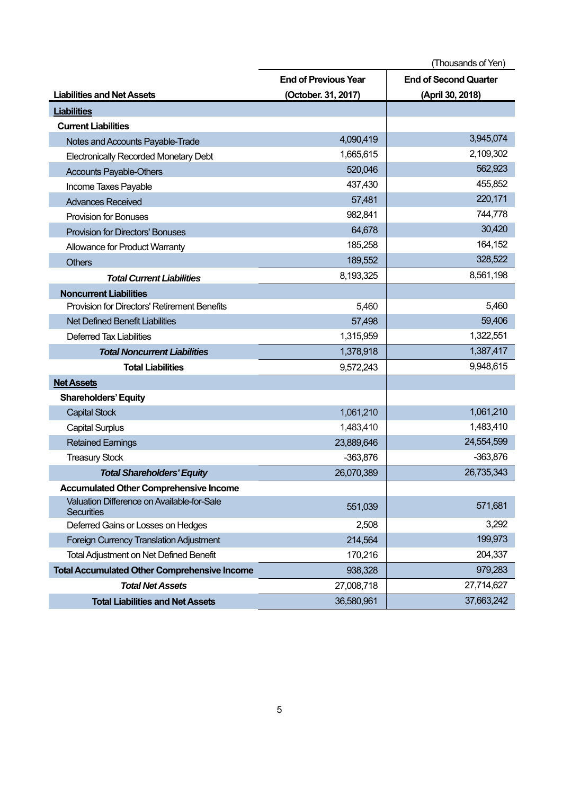|                                                                 |                             | (Thousands of Yen)           |
|-----------------------------------------------------------------|-----------------------------|------------------------------|
|                                                                 | <b>End of Previous Year</b> | <b>End of Second Quarter</b> |
| <b>Liabilities and Net Assets</b>                               | (October. 31, 2017)         | (April 30, 2018)             |
| <b>Liabilities</b>                                              |                             |                              |
| <b>Current Liabilities</b>                                      |                             |                              |
| Notes and Accounts Payable-Trade                                | 4,090,419                   | 3,945,074                    |
| <b>Electronically Recorded Monetary Debt</b>                    | 1,665,615                   | 2,109,302                    |
| <b>Accounts Payable-Others</b>                                  | 520,046                     | 562,923                      |
| Income Taxes Payable                                            | 437,430                     | 455,852                      |
| <b>Advances Received</b>                                        | 57,481                      | 220,171                      |
| <b>Provision for Bonuses</b>                                    | 982,841                     | 744,778                      |
| <b>Provision for Directors' Bonuses</b>                         | 64,678                      | 30,420                       |
| Allowance for Product Warranty                                  | 185,258                     | 164,152                      |
| <b>Others</b>                                                   | 189,552                     | 328,522                      |
| <b>Total Current Liabilities</b>                                | 8,193,325                   | 8,561,198                    |
| <b>Noncurrent Liabilities</b>                                   |                             |                              |
| <b>Provision for Directors' Retirement Benefits</b>             | 5,460                       | 5,460                        |
| <b>Net Defined Benefit Liabilities</b>                          | 57,498                      | 59,406                       |
| <b>Deferred Tax Liabilities</b>                                 | 1,315,959                   | 1,322,551                    |
| <b>Total Noncurrent Liabilities</b>                             | 1,378,918                   | 1,387,417                    |
| <b>Total Liabilities</b>                                        | 9,572,243                   | 9,948,615                    |
| <b>Net Assets</b>                                               |                             |                              |
| <b>Shareholders' Equity</b>                                     |                             |                              |
| <b>Capital Stock</b>                                            | 1,061,210                   | 1,061,210                    |
| <b>Capital Surplus</b>                                          | 1,483,410                   | 1,483,410                    |
| <b>Retained Earnings</b>                                        | 23,889,646                  | 24,554,599                   |
| <b>Treasury Stock</b>                                           | $-363,876$                  | $-363,876$                   |
| <b>Total Shareholders' Equity</b>                               | 26,070,389                  | 26,735,343                   |
| <b>Accumulated Other Comprehensive Income</b>                   |                             |                              |
| Valuation Difference on Available-for-Sale<br><b>Securities</b> | 551,039                     | 571,681                      |
| Deferred Gains or Losses on Hedges                              | 2,508                       | 3,292                        |
| Foreign Currency Translation Adjustment                         | 214,564                     | 199,973                      |
| Total Adjustment on Net Defined Benefit                         | 170,216                     | 204,337                      |
| <b>Total Accumulated Other Comprehensive Income</b>             | 938,328                     | 979,283                      |
| <b>Total Net Assets</b>                                         | 27,008,718                  | 27,714,627                   |
| <b>Total Liabilities and Net Assets</b>                         | 36,580,961                  | 37,663,242                   |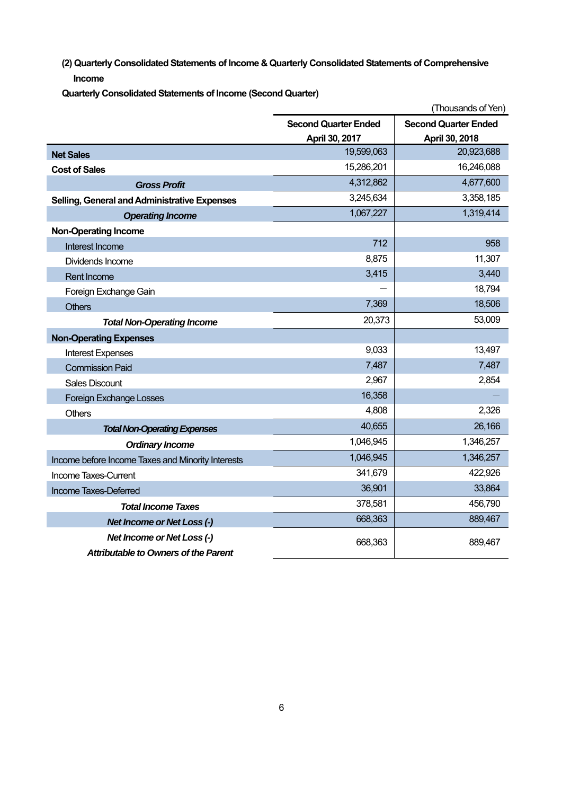**(2) Quarterly Consolidated Statements of Income & Quarterly Consolidated Statements of Comprehensive Income** 

**Quarterly Consolidated Statements of Income (Second Quarter)** 

|                                                   |                             | (Thousands of Yen)          |
|---------------------------------------------------|-----------------------------|-----------------------------|
|                                                   | <b>Second Quarter Ended</b> | <b>Second Quarter Ended</b> |
|                                                   | April 30, 2017              | April 30, 2018              |
| <b>Net Sales</b>                                  | 19,599,063                  | 20,923,688                  |
| <b>Cost of Sales</b>                              | 15,286,201                  | 16,246,088                  |
| <b>Gross Profit</b>                               | 4,312,862                   | 4,677,600                   |
| Selling, General and Administrative Expenses      | 3,245,634                   | 3,358,185                   |
| <b>Operating Income</b>                           | 1,067,227                   | 1,319,414                   |
| <b>Non-Operating Income</b>                       |                             |                             |
| Interest Income                                   | 712                         | 958                         |
| Dividends Income                                  | 8,875                       | 11,307                      |
| <b>Rent Income</b>                                | 3,415                       | 3,440                       |
| Foreign Exchange Gain                             |                             | 18,794                      |
| <b>Others</b>                                     | 7,369                       | 18,506                      |
| <b>Total Non-Operating Income</b>                 | 20,373                      | 53,009                      |
| <b>Non-Operating Expenses</b>                     |                             |                             |
| <b>Interest Expenses</b>                          | 9,033                       | 13,497                      |
| <b>Commission Paid</b>                            | 7,487                       | 7,487                       |
| <b>Sales Discount</b>                             | 2,967                       | 2,854                       |
| <b>Foreign Exchange Losses</b>                    | 16,358                      |                             |
| <b>Others</b>                                     | 4,808                       | 2,326                       |
| <b>Total Non-Operating Expenses</b>               | 40,655                      | 26,166                      |
| <b>Ordinary Income</b>                            | 1,046,945                   | 1,346,257                   |
| Income before Income Taxes and Minority Interests | 1,046,945                   | 1,346,257                   |
| Income Taxes-Current                              | 341,679                     | 422,926                     |
| Income Taxes-Deferred                             | 36,901                      | 33,864                      |
| <b>Total Income Taxes</b>                         | 378,581                     | 456,790                     |
| Net Income or Net Loss (-)                        | 668,363                     | 889,467                     |
| Net Income or Net Loss (-)                        | 668,363                     | 889,467                     |
| <b>Attributable to Owners of the Parent</b>       |                             |                             |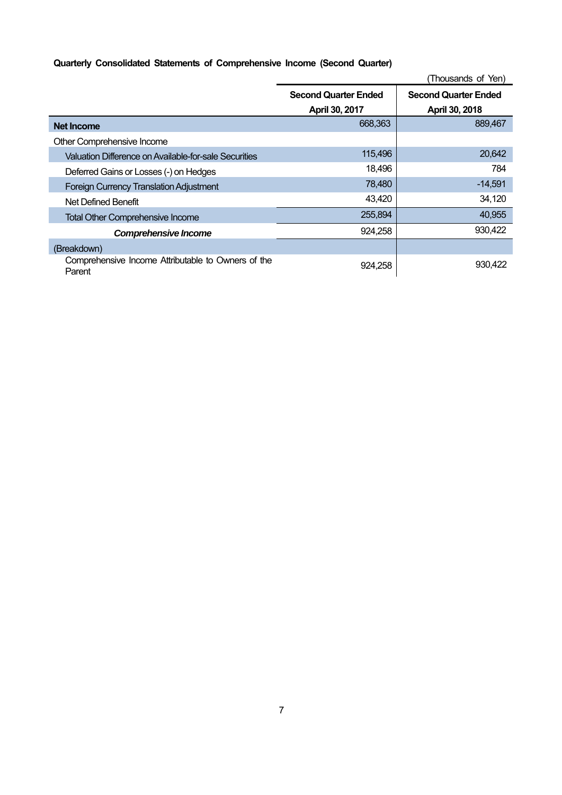## **Quarterly Consolidated Statements of Comprehensive Income (Second Quarter)**

|                                                              | (Thousands of Yen)          |                             |  |
|--------------------------------------------------------------|-----------------------------|-----------------------------|--|
|                                                              | <b>Second Quarter Ended</b> | <b>Second Quarter Ended</b> |  |
|                                                              | April 30, 2017              | April 30, 2018              |  |
| Net Income                                                   | 668,363                     | 889,467                     |  |
| Other Comprehensive Income                                   |                             |                             |  |
| Valuation Difference on Available-for-sale Securities        | 115,496                     | 20,642                      |  |
| Deferred Gains or Losses (-) on Hedges                       | 18,496                      | 784                         |  |
| <b>Foreign Currency Translation Adjustment</b>               | 78,480                      | $-14,591$                   |  |
| Net Defined Benefit                                          | 43,420                      | 34,120                      |  |
| <b>Total Other Comprehensive Income</b>                      | 255,894                     | 40,955                      |  |
| <b>Comprehensive Income</b>                                  | 924,258                     | 930,422                     |  |
| (Breakdown)                                                  |                             |                             |  |
| Comprehensive Income Attributable to Owners of the<br>Parent | 924,258                     | 930.422                     |  |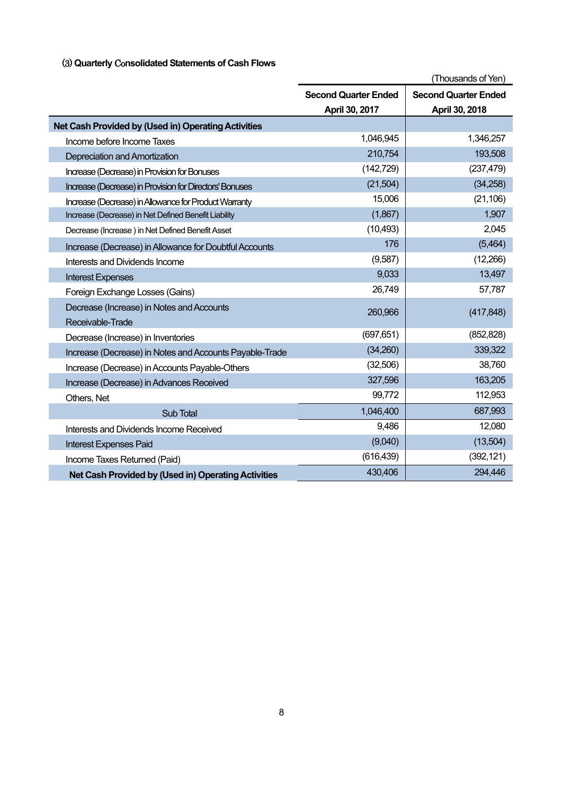## (3) **Quarterly** Co**nsolidated Statements of Cash Flows**

|                                                         | (Thousands of Yen)          |                             |  |
|---------------------------------------------------------|-----------------------------|-----------------------------|--|
|                                                         | <b>Second Quarter Ended</b> | <b>Second Quarter Ended</b> |  |
|                                                         | April 30, 2017              | April 30, 2018              |  |
| Net Cash Provided by (Used in) Operating Activities     |                             |                             |  |
| Income before Income Taxes                              | 1,046,945                   | 1,346,257                   |  |
| Depreciation and Amortization                           | 210,754                     | 193,508                     |  |
| Increase (Decrease) in Provision for Bonuses            | (142, 729)                  | (237, 479)                  |  |
| Increase (Decrease) in Provision for Directors' Bonuses | (21, 504)                   | (34, 258)                   |  |
| Increase (Decrease) in Allowance for Product Warranty   | 15,006                      | (21, 106)                   |  |
| Increase (Decrease) in Net Defined Benefit Liability    | (1,867)                     | 1,907                       |  |
| Decrease (Increase) in Net Defined Benefit Asset        | (10, 493)                   | 2,045                       |  |
| Increase (Decrease) in Allowance for Doubtful Accounts  | 176                         | (5,464)                     |  |
| Interests and Dividends Income                          | (9,587)                     | (12,266)                    |  |
| <b>Interest Expenses</b>                                | 9,033                       | 13,497                      |  |
| Foreign Exchange Losses (Gains)                         | 26,749                      | 57,787                      |  |
| Decrease (Increase) in Notes and Accounts               | 260,966                     | (417, 848)                  |  |
| Receivable-Trade                                        |                             |                             |  |
| Decrease (Increase) in Inventories                      | (697, 651)                  | (852, 828)                  |  |
| Increase (Decrease) in Notes and Accounts Payable-Trade | (34,260)                    | 339,322                     |  |
| Increase (Decrease) in Accounts Payable-Others          | (32,506)                    | 38,760                      |  |
| Increase (Decrease) in Advances Received                | 327,596                     | 163,205                     |  |
| Others, Net                                             | 99,772                      | 112,953                     |  |
| Sub Total                                               | 1,046,400                   | 687,993                     |  |
| Interests and Dividends Income Received                 | 9,486                       | 12,080                      |  |
| <b>Interest Expenses Paid</b>                           | (9,040)                     | (13,504)                    |  |
| Income Taxes Returned (Paid)                            | (616, 439)                  | (392, 121)                  |  |
| Net Cash Provided by (Used in) Operating Activities     | 430,406                     | 294,446                     |  |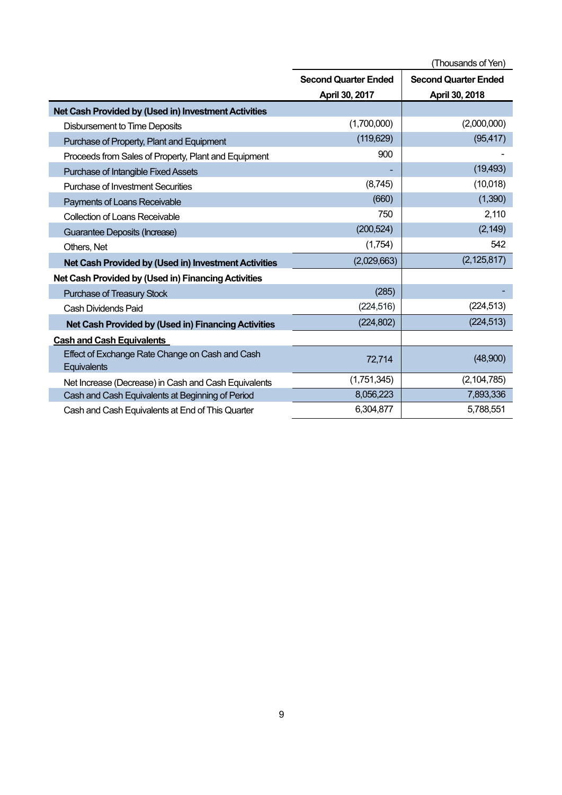|                                                                | (Thousands of Yen)                                         |                |  |
|----------------------------------------------------------------|------------------------------------------------------------|----------------|--|
|                                                                | <b>Second Quarter Ended</b><br><b>Second Quarter Ended</b> |                |  |
|                                                                | April 30, 2017                                             | April 30, 2018 |  |
| Net Cash Provided by (Used in) Investment Activities           |                                                            |                |  |
| <b>Disbursement to Time Deposits</b>                           | (1,700,000)                                                | (2,000,000)    |  |
| Purchase of Property, Plant and Equipment                      | (119, 629)                                                 | (95, 417)      |  |
| Proceeds from Sales of Property, Plant and Equipment           | 900                                                        |                |  |
| Purchase of Intangible Fixed Assets                            |                                                            | (19, 493)      |  |
| Purchase of Investment Securities                              | (8,745)                                                    | (10,018)       |  |
| Payments of Loans Receivable                                   | (660)                                                      | (1,390)        |  |
| <b>Collection of Loans Receivable</b>                          | 750                                                        | 2,110          |  |
| Guarantee Deposits (Increase)                                  | (200, 524)                                                 | (2, 149)       |  |
| Others, Net                                                    | (1,754)                                                    | 542            |  |
| Net Cash Provided by (Used in) Investment Activities           | (2,029,663)                                                | (2, 125, 817)  |  |
| Net Cash Provided by (Used in) Financing Activities            |                                                            |                |  |
| Purchase of Treasury Stock                                     | (285)                                                      |                |  |
| Cash Dividends Paid                                            | (224, 516)                                                 | (224, 513)     |  |
| Net Cash Provided by (Used in) Financing Activities            | (224, 802)                                                 | (224, 513)     |  |
| <b>Cash and Cash Equivalents</b>                               |                                                            |                |  |
| Effect of Exchange Rate Change on Cash and Cash<br>Equivalents | 72,714                                                     | (48,900)       |  |
| Net Increase (Decrease) in Cash and Cash Equivalents           | (1,751,345)                                                | (2, 104, 785)  |  |
| Cash and Cash Equivalents at Beginning of Period               | 8,056,223                                                  | 7,893,336      |  |
| Cash and Cash Equivalents at End of This Quarter               | 6,304,877                                                  | 5,788,551      |  |